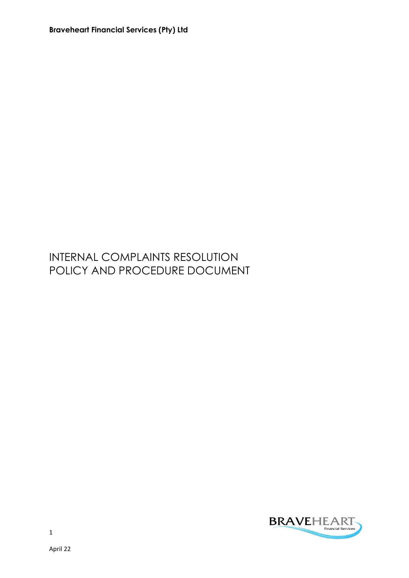## INTERNAL COMPLAINTS RESOLUTION POLICY AND PROCEDURE DOCUMENT

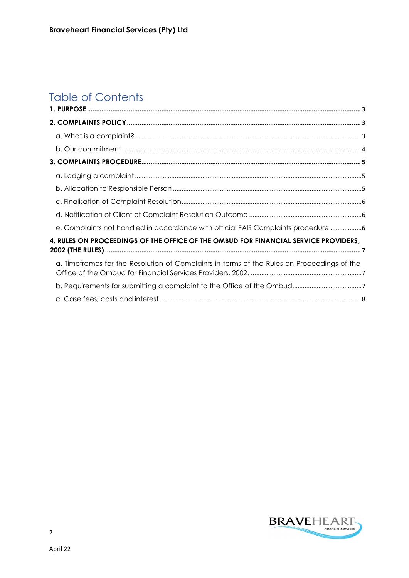# **Table of Contents**

| e. Complaints not handled in accordance with official FAIS Complaints procedure            |  |
|--------------------------------------------------------------------------------------------|--|
| 4. RULES ON PROCEEDINGS OF THE OFFICE OF THE OMBUD FOR FINANCIAL SERVICE PROVIDERS,        |  |
| a. Timeframes for the Resolution of Complaints in terms of the Rules on Proceedings of the |  |
|                                                                                            |  |
|                                                                                            |  |
|                                                                                            |  |

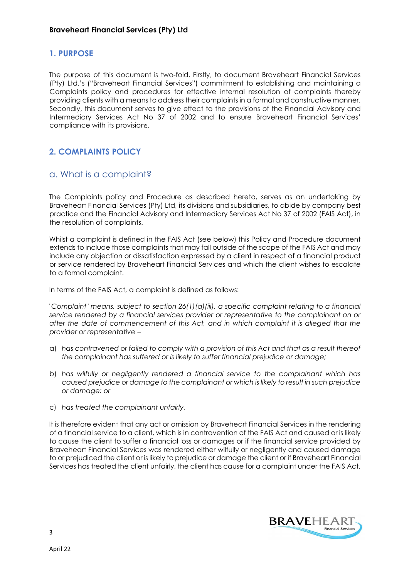#### 1. PURPOSE

The purpose of this document is two-fold. Firstly, to document Braveheart Financial Services (Pty) Ltd.'s ("Braveheart Financial Services") commitment to establishing and maintaining a Complaints policy and procedures for effective internal resolution of complaints thereby providing clients with a means to address their complaints in a formal and constructive manner. Secondly, this document serves to give effect to the provisions of the Financial Advisory and Intermediary Services Act No 37 of 2002 and to ensure Braveheart Financial Services' compliance with its provisions.

#### 2. COMPLAINTS POLICY

#### a. What is a complaint?

The Complaints policy and Procedure as described hereto, serves as an undertaking by Braveheart Financial Services (Pty) Ltd, its divisions and subsidiaries, to abide by company best practice and the Financial Advisory and Intermediary Services Act No 37 of 2002 (FAIS Act), in the resolution of complaints.

Whilst a complaint is defined in the FAIS Act (see below) this Policy and Procedure document extends to include those complaints that may fall outside of the scope of the FAIS Act and may include any objection or dissatisfaction expressed by a client in respect of a financial product or service rendered by Braveheart Financial Services and which the client wishes to escalate to a formal complaint.

In terms of the FAIS Act, a complaint is defined as follows:

"Complaint" means, subject to section 26(1)(a)(iii), a specific complaint relating to a financial service rendered by a financial services provider or representative to the complainant on or after the date of commencement of this Act, and in which complaint it is alleged that the provider or representative –

- a) has contravened or failed to comply with a provision of this Act and that as a result thereof the complainant has suffered or is likely to suffer financial prejudice or damage;
- b) has wilfully or negligently rendered a financial service to the complainant which has caused prejudice or damage to the complainant or which is likely to result in such prejudice or damage; or
- c) has treated the complainant unfairly.

It is therefore evident that any act or omission by Braveheart Financial Services in the rendering of a financial service to a client, which is in contravention of the FAIS Act and caused or is likely to cause the client to suffer a financial loss or damages or if the financial service provided by Braveheart Financial Services was rendered either wilfully or negligently and caused damage to or prejudiced the client or is likely to prejudice or damage the client or if Braveheart Financial Services has treated the client unfairly, the client has cause for a complaint under the FAIS Act.

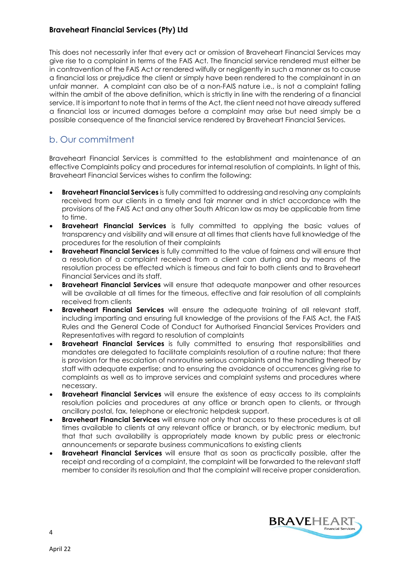This does not necessarily infer that every act or omission of Braveheart Financial Services may give rise to a complaint in terms of the FAIS Act. The financial service rendered must either be in contravention of the FAIS Act or rendered wilfully or negligently in such a manner as to cause a financial loss or prejudice the client or simply have been rendered to the complainant in an unfair manner. A complaint can also be of a non-FAIS nature i.e., is not a complaint falling within the ambit of the above definition, which is strictly in line with the rendering of a financial service. It is important to note that in terms of the Act, the client need not have already suffered a financial loss or incurred damages before a complaint may arise but need simply be a possible consequence of the financial service rendered by Braveheart Financial Services.

## b. Our commitment

Braveheart Financial Services is committed to the establishment and maintenance of an effective Complaints policy and procedures for internal resolution of complaints. In light of this, Braveheart Financial Services wishes to confirm the following:

- **Braveheart Financial Services** is fully committed to addressing and resolving any complaints received from our clients in a timely and fair manner and in strict accordance with the provisions of the FAIS Act and any other South African law as may be applicable from time to time.
- **Braveheart Financial Services** is fully committed to applying the basic values of transparency and visibility and will ensure at all times that clients have full knowledge of the procedures for the resolution of their complaints
- Braveheart Financial Services is fully committed to the value of fairness and will ensure that a resolution of a complaint received from a client can during and by means of the resolution process be effected which is timeous and fair to both clients and to Braveheart Financial Services and its staff.
- **Braveheart Financial Services** will ensure that adequate manpower and other resources will be available at all times for the timeous, effective and fair resolution of all complaints received from clients
- **Braveheart Financial Services** will ensure the adequate training of all relevant staff, including imparting and ensuring full knowledge of the provisions of the FAIS Act, the FAIS Rules and the General Code of Conduct for Authorised Financial Services Providers and Representatives with regard to resolution of complaints
- Braveheart Financial Services is fully committed to ensuring that responsibilities and mandates are delegated to facilitate complaints resolution of a routine nature; that there is provision for the escalation of nonroutine serious complaints and the handling thereof by staff with adequate expertise; and to ensuring the avoidance of occurrences giving rise to complaints as well as to improve services and complaint systems and procedures where necessary.
- Braveheart Financial Services will ensure the existence of easy access to its complaints resolution policies and procedures at any office or branch open to clients, or through ancillary postal, fax, telephone or electronic helpdesk support.
- **Braveheart Financial Services** will ensure not only that access to these procedures is at all times available to clients at any relevant office or branch, or by electronic medium, but that that such availability is appropriately made known by public press or electronic announcements or separate business communications to existing clients
- **Braveheart Financial Services** will ensure that as soon as practically possible, after the receipt and recording of a complaint, the complaint will be forwarded to the relevant staff member to consider its resolution and that the complaint will receive proper consideration.

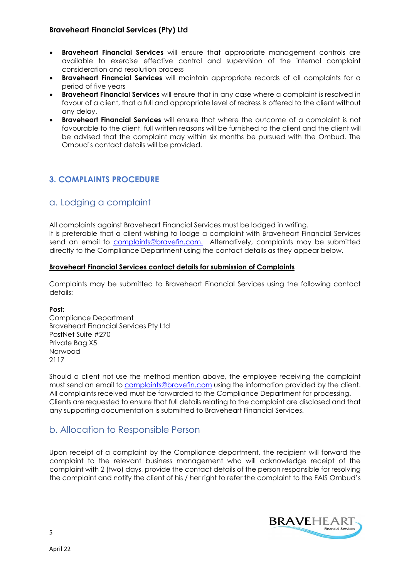- **Braveheart Financial Services** will ensure that appropriate management controls are available to exercise effective control and supervision of the internal complaint consideration and resolution process
- **Braveheart Financial Services** will maintain appropriate records of all complaints for a period of five years
- **Braveheart Financial Services** will ensure that in any case where a complaint is resolved in favour of a client, that a full and appropriate level of redress is offered to the client without any delay.
- Braveheart Financial Services will ensure that where the outcome of a complaint is not favourable to the client, full written reasons will be furnished to the client and the client will be advised that the complaint may within six months be pursued with the Ombud. The Ombud's contact details will be provided.

#### 3. COMPLAINTS PROCEDURE

#### a. Lodging a complaint

All complaints against Braveheart Financial Services must be lodged in writing.

It is preferable that a client wishing to lodge a complaint with Braveheart Financial Services send an email to complaints@bravefin.com. Alternatively, complaints may be submitted directly to the Compliance Department using the contact details as they appear below.

#### Braveheart Financial Services contact details for submission of Complaints

Complaints may be submitted to Braveheart Financial Services using the following contact details:

#### Post:

Compliance Department Braveheart Financial Services Pty Ltd PostNet Suite #270 Private Bag X5 Norwood 2117

Should a client not use the method mention above, the employee receiving the complaint must send an email to complaints@bravefin.com using the information provided by the client. All complaints received must be forwarded to the Compliance Department for processing. Clients are requested to ensure that full details relating to the complaint are disclosed and that any supporting documentation is submitted to Braveheart Financial Services.

#### b. Allocation to Responsible Person

Upon receipt of a complaint by the Compliance department, the recipient will forward the complaint to the relevant business management who will acknowledge receipt of the complaint with 2 (two) days, provide the contact details of the person responsible for resolving the complaint and notify the client of his / her right to refer the complaint to the FAIS Ombud's

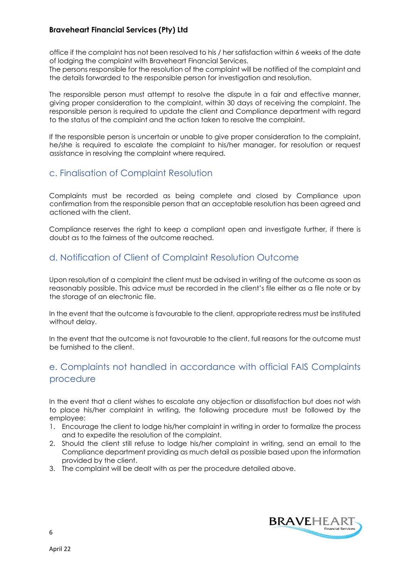office if the complaint has not been resolved to his / her satisfaction within 6 weeks of the date of lodging the complaint with Braveheart Financial Services.

The persons responsible for the resolution of the complaint will be notified of the complaint and the details forwarded to the responsible person for investigation and resolution.

The responsible person must attempt to resolve the dispute in a fair and effective manner, giving proper consideration to the complaint, within 30 days of receiving the complaint. The responsible person is required to update the client and Compliance department with regard to the status of the complaint and the action taken to resolve the complaint.

If the responsible person is uncertain or unable to give proper consideration to the complaint, he/she is required to escalate the complaint to his/her manager, for resolution or request assistance in resolving the complaint where required.

#### c. Finalisation of Complaint Resolution

Complaints must be recorded as being complete and closed by Compliance upon confirmation from the responsible person that an acceptable resolution has been agreed and actioned with the client.

Compliance reserves the right to keep a compliant open and investigate further, if there is doubt as to the fairness of the outcome reached.

#### d. Notification of Client of Complaint Resolution Outcome

Upon resolution of a complaint the client must be advised in writing of the outcome as soon as reasonably possible. This advice must be recorded in the client's file either as a file note or by the storage of an electronic file.

In the event that the outcome is favourable to the client, appropriate redress must be instituted without delay.

In the event that the outcome is not favourable to the client, full reasons for the outcome must be furnished to the client.

## e. Complaints not handled in accordance with official FAIS Complaints procedure

In the event that a client wishes to escalate any objection or dissatisfaction but does not wish to place his/her complaint in writing, the following procedure must be followed by the employee:

- 1. Encourage the client to lodge his/her complaint in writing in order to formalize the process and to expedite the resolution of the complaint.
- 2. Should the client still refuse to lodge his/her complaint in writing, send an email to the Compliance department providing as much detail as possible based upon the information provided by the client.
- 3. The complaint will be dealt with as per the procedure detailed above.



6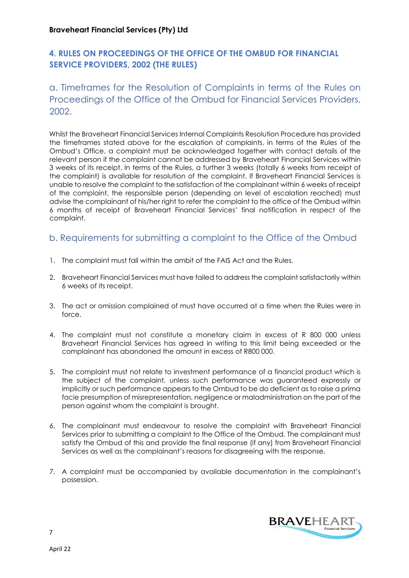## 4. RULES ON PROCEEDINGS OF THE OFFICE OF THE OMBUD FOR FINANCIAL SERVICE PROVIDERS, 2002 (THE RULES)

## a. Timeframes for the Resolution of Complaints in terms of the Rules on Proceedings of the Office of the Ombud for Financial Services Providers, 2002.

Whilst the Braveheart Financial Services Internal Complaints Resolution Procedure has provided the timeframes stated above for the escalation of complaints, in terms of the Rules of the Ombud's Office, a complaint must be acknowledged together with contact details of the relevant person if the complaint cannot be addressed by Braveheart Financial Services within 3 weeks of its receipt. In terms of the Rules, a further 3 weeks (totally 6 weeks from receipt of the complaint) is available for resolution of the complaint. If Braveheart Financial Services is unable to resolve the complaint to the satisfaction of the complainant within 6 weeks of receipt of the complaint, the responsible person (depending on level of escalation reached) must advise the complainant of his/her right to refer the complaint to the office of the Ombud within 6 months of receipt of Braveheart Financial Services' final notification in respect of the complaint.

## b. Requirements for submitting a complaint to the Office of the Ombud

- 1. The complaint must fall within the ambit of the FAIS Act and the Rules.
- 2. Braveheart Financial Services must have failed to address the complaint satisfactorily within 6 weeks of its receipt.
- 3. The act or omission complained of must have occurred at a time when the Rules were in force.
- 4. The complaint must not constitute a monetary claim in excess of R 800 000 unless Braveheart Financial Services has agreed in writing to this limit being exceeded or the complainant has abandoned the amount in excess of R800 000.
- 5. The complaint must not relate to investment performance of a financial product which is the subject of the complaint, unless such performance was guaranteed expressly or implicitly or such performance appears to the Ombud to be do deficient as to raise a prima facie presumption of misrepresentation, negligence or maladministration on the part of the person against whom the complaint is brought.
- 6. The complainant must endeavour to resolve the complaint with Braveheart Financial Services prior to submitting a complaint to the Office of the Ombud. The complainant must satisfy the Ombud of this and provide the final response (if any) from Braveheart Financial Services as well as the complainant's reasons for disagreeing with the response.
- 7. A complaint must be accompanied by available documentation in the complainant's possession.